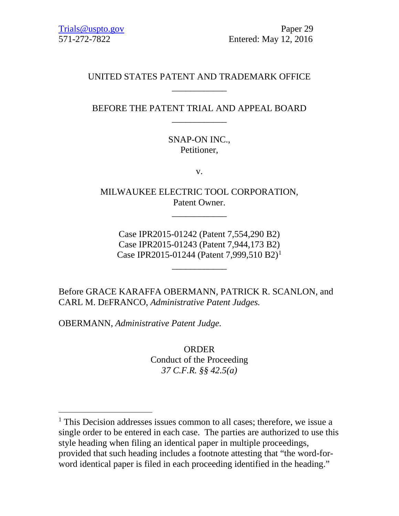# UNITED STATES PATENT AND TRADEMARK OFFICE \_\_\_\_\_\_\_\_\_\_\_\_

# BEFORE THE PATENT TRIAL AND APPEAL BOARD \_\_\_\_\_\_\_\_\_\_\_\_

SNAP-ON INC., Petitioner,

v.

MILWAUKEE ELECTRIC TOOL CORPORATION, Patent Owner.

\_\_\_\_\_\_\_\_\_\_\_\_

Case IPR2015-01242 (Patent 7,554,290 B2) Case IPR2015-01243 (Patent 7,944,173 B2) Case IPR20[1](#page-0-0)5-01244 (Patent 7,999,510 B2)<sup>1</sup>

\_\_\_\_\_\_\_\_\_\_\_\_

Before GRACE KARAFFA OBERMANN, PATRICK R. SCANLON, and CARL M. DEFRANCO, *Administrative Patent Judges.*

OBERMANN, *Administrative Patent Judge.*

ORDER Conduct of the Proceeding *37 C.F.R. §§ 42.5(a)*

<span id="page-0-0"></span><sup>&</sup>lt;sup>1</sup> This Decision addresses issues common to all cases; therefore, we issue a single order to be entered in each case. The parties are authorized to use this style heading when filing an identical paper in multiple proceedings, provided that such heading includes a footnote attesting that "the word-forword identical paper is filed in each proceeding identified in the heading."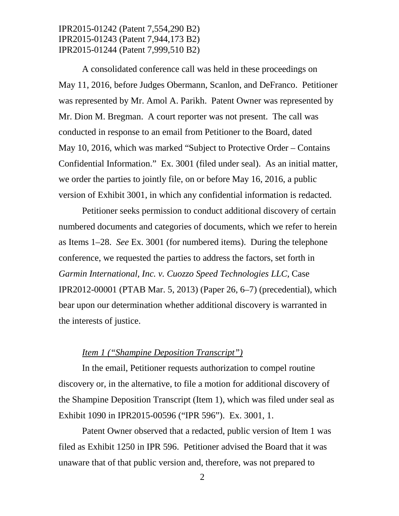A consolidated conference call was held in these proceedings on May 11, 2016, before Judges Obermann, Scanlon, and DeFranco. Petitioner was represented by Mr. Amol A. Parikh. Patent Owner was represented by Mr. Dion M. Bregman. A court reporter was not present. The call was conducted in response to an email from Petitioner to the Board, dated May 10, 2016, which was marked "Subject to Protective Order – Contains Confidential Information." Ex. 3001 (filed under seal). As an initial matter, we order the parties to jointly file, on or before May 16, 2016, a public version of Exhibit 3001, in which any confidential information is redacted.

Petitioner seeks permission to conduct additional discovery of certain numbered documents and categories of documents, which we refer to herein as Items 1–28. *See* Ex. 3001 (for numbered items). During the telephone conference, we requested the parties to address the factors, set forth in *Garmin International, Inc. v. Cuozzo Speed Technologies LLC*, Case IPR2012-00001 (PTAB Mar. 5, 2013) (Paper 26, 6–7) (precedential), which bear upon our determination whether additional discovery is warranted in the interests of justice.

#### *Item 1 ("Shampine Deposition Transcript")*

In the email, Petitioner requests authorization to compel routine discovery or, in the alternative, to file a motion for additional discovery of the Shampine Deposition Transcript (Item 1), which was filed under seal as Exhibit 1090 in IPR2015-00596 ("IPR 596"). Ex. 3001, 1.

Patent Owner observed that a redacted, public version of Item 1 was filed as Exhibit 1250 in IPR 596. Petitioner advised the Board that it was unaware that of that public version and, therefore, was not prepared to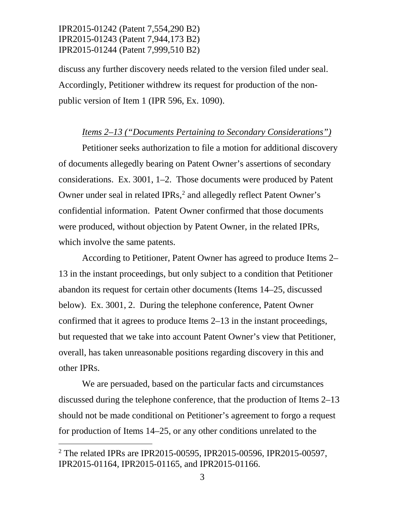discuss any further discovery needs related to the version filed under seal. Accordingly, Petitioner withdrew its request for production of the nonpublic version of Item 1 (IPR 596, Ex. 1090).

#### *Items 2–13 ("Documents Pertaining to Secondary Considerations")*

Petitioner seeks authorization to file a motion for additional discovery of documents allegedly bearing on Patent Owner's assertions of secondary considerations. Ex. 3001, 1–2. Those documents were produced by Patent Owner under seal in related IPRs,<sup>2</sup> and allegedly reflect Patent Owner's confidential information. Patent Owner confirmed that those documents were produced, without objection by Patent Owner, in the related IPRs, which involve the same patents.

According to Petitioner, Patent Owner has agreed to produce Items 2– 13 in the instant proceedings, but only subject to a condition that Petitioner abandon its request for certain other documents (Items 14–25, discussed below). Ex. 3001, 2. During the telephone conference, Patent Owner confirmed that it agrees to produce Items 2–13 in the instant proceedings, but requested that we take into account Patent Owner's view that Petitioner, overall, has taken unreasonable positions regarding discovery in this and other IPRs.

We are persuaded, based on the particular facts and circumstances discussed during the telephone conference, that the production of Items 2–13 should not be made conditional on Petitioner's agreement to forgo a request for production of Items 14–25, or any other conditions unrelated to the

<span id="page-2-0"></span> <sup>2</sup> The related IPRs are IPR2015-00595, IPR2015-00596, IPR2015-00597, IPR2015-01164, IPR2015-01165, and IPR2015-01166.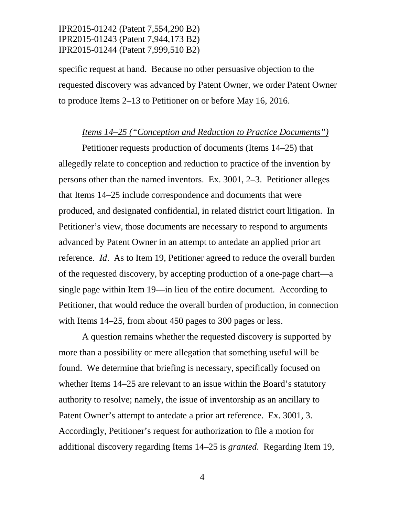specific request at hand. Because no other persuasive objection to the requested discovery was advanced by Patent Owner, we order Patent Owner to produce Items 2–13 to Petitioner on or before May 16, 2016.

#### *Items 14–25 ("Conception and Reduction to Practice Documents")*

Petitioner requests production of documents (Items 14–25) that allegedly relate to conception and reduction to practice of the invention by persons other than the named inventors. Ex. 3001, 2–3. Petitioner alleges that Items 14–25 include correspondence and documents that were produced, and designated confidential, in related district court litigation. In Petitioner's view, those documents are necessary to respond to arguments advanced by Patent Owner in an attempt to antedate an applied prior art reference. *Id*. As to Item 19, Petitioner agreed to reduce the overall burden of the requested discovery, by accepting production of a one-page chart—a single page within Item 19—in lieu of the entire document. According to Petitioner, that would reduce the overall burden of production, in connection with Items 14–25, from about 450 pages to 300 pages or less.

A question remains whether the requested discovery is supported by more than a possibility or mere allegation that something useful will be found. We determine that briefing is necessary, specifically focused on whether Items 14–25 are relevant to an issue within the Board's statutory authority to resolve; namely, the issue of inventorship as an ancillary to Patent Owner's attempt to antedate a prior art reference. Ex. 3001, 3. Accordingly, Petitioner's request for authorization to file a motion for additional discovery regarding Items 14–25 is *granted*. Regarding Item 19,

4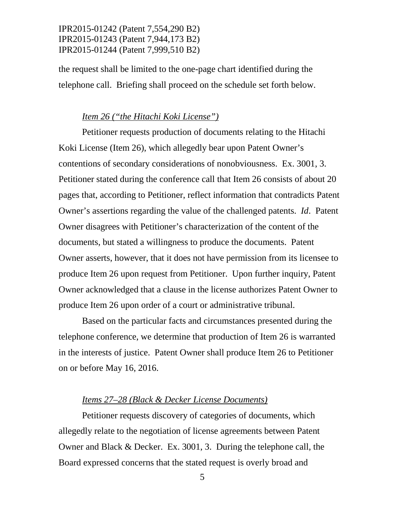the request shall be limited to the one-page chart identified during the telephone call. Briefing shall proceed on the schedule set forth below.

### *Item 26 ("the Hitachi Koki License")*

Petitioner requests production of documents relating to the Hitachi Koki License (Item 26), which allegedly bear upon Patent Owner's contentions of secondary considerations of nonobviousness. Ex. 3001, 3. Petitioner stated during the conference call that Item 26 consists of about 20 pages that, according to Petitioner, reflect information that contradicts Patent Owner's assertions regarding the value of the challenged patents. *Id*. Patent Owner disagrees with Petitioner's characterization of the content of the documents, but stated a willingness to produce the documents. Patent Owner asserts, however, that it does not have permission from its licensee to produce Item 26 upon request from Petitioner. Upon further inquiry, Patent Owner acknowledged that a clause in the license authorizes Patent Owner to produce Item 26 upon order of a court or administrative tribunal.

Based on the particular facts and circumstances presented during the telephone conference, we determine that production of Item 26 is warranted in the interests of justice. Patent Owner shall produce Item 26 to Petitioner on or before May 16, 2016.

#### *Items 27–28 (Black & Decker License Documents)*

Petitioner requests discovery of categories of documents, which allegedly relate to the negotiation of license agreements between Patent Owner and Black & Decker. Ex. 3001, 3. During the telephone call, the Board expressed concerns that the stated request is overly broad and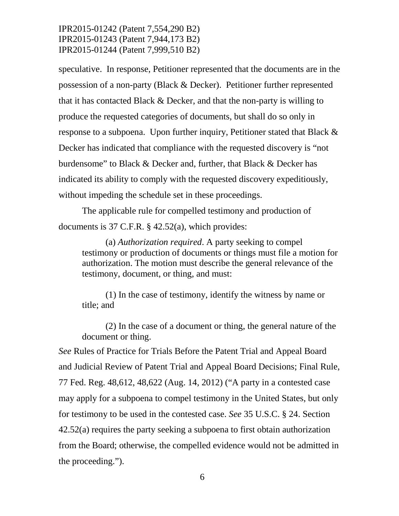speculative. In response, Petitioner represented that the documents are in the possession of a non-party (Black & Decker). Petitioner further represented that it has contacted Black & Decker, and that the non-party is willing to produce the requested categories of documents, but shall do so only in response to a subpoena. Upon further inquiry, Petitioner stated that Black & Decker has indicated that compliance with the requested discovery is "not burdensome" to Black & Decker and, further, that Black & Decker has indicated its ability to comply with the requested discovery expeditiously, without impeding the schedule set in these proceedings.

The applicable rule for compelled testimony and production of documents is 37 C.F.R. § 42.52(a), which provides:

(a) *Authorization required*. A party seeking to compel testimony or production of documents or things must file a motion for authorization. The motion must describe the general relevance of the testimony, document, or thing, and must:

(1) In the case of testimony, identify the witness by name or title; and

(2) In the case of a document or thing, the general nature of the document or thing.

*See* Rules of Practice for Trials Before the Patent Trial and Appeal Board and Judicial Review of Patent Trial and Appeal Board Decisions; Final Rule, 77 Fed. Reg. 48,612, 48,622 (Aug. 14, 2012) ("A party in a contested case may apply for a subpoena to compel testimony in the United States, but only for testimony to be used in the contested case. *See* 35 U.S.C. § 24. Section 42.52(a) requires the party seeking a subpoena to first obtain authorization from the Board; otherwise, the compelled evidence would not be admitted in the proceeding.").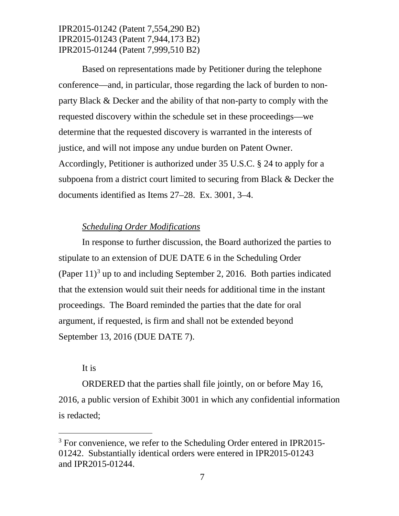Based on representations made by Petitioner during the telephone conference—and, in particular, those regarding the lack of burden to nonparty Black & Decker and the ability of that non-party to comply with the requested discovery within the schedule set in these proceedings—we determine that the requested discovery is warranted in the interests of justice, and will not impose any undue burden on Patent Owner. Accordingly, Petitioner is authorized under 35 U.S.C. § 24 to apply for a subpoena from a district court limited to securing from Black & Decker the documents identified as Items 27–28. Ex. 3001, 3–4.

### *Scheduling Order Modifications*

In response to further discussion, the Board authorized the parties to stipulate to an extension of DUE DATE 6 in the Scheduling Order (Paper  $11$ )<sup>[3](#page-6-0)</sup> up to and including September 2, 2016. Both parties indicated that the extension would suit their needs for additional time in the instant proceedings. The Board reminded the parties that the date for oral argument, if requested, is firm and shall not be extended beyond September 13, 2016 (DUE DATE 7).

### It is

ORDERED that the parties shall file jointly, on or before May 16, 2016, a public version of Exhibit 3001 in which any confidential information is redacted;

<span id="page-6-0"></span><sup>&</sup>lt;sup>3</sup> For convenience, we refer to the Scheduling Order entered in IPR2015-01242. Substantially identical orders were entered in IPR2015-01243 and IPR2015-01244.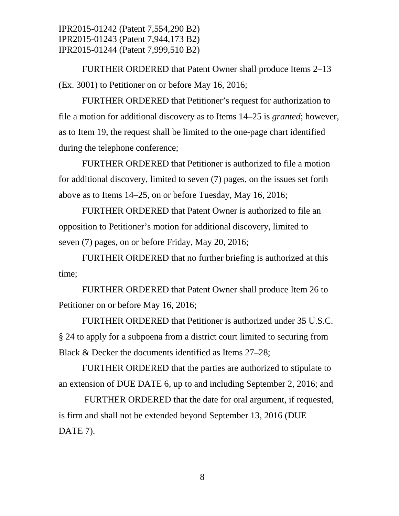FURTHER ORDERED that Patent Owner shall produce Items 2–13 (Ex. 3001) to Petitioner on or before May 16, 2016;

FURTHER ORDERED that Petitioner's request for authorization to file a motion for additional discovery as to Items 14–25 is *granted*; however, as to Item 19, the request shall be limited to the one-page chart identified during the telephone conference;

FURTHER ORDERED that Petitioner is authorized to file a motion for additional discovery, limited to seven (7) pages, on the issues set forth above as to Items 14–25, on or before Tuesday, May 16, 2016;

FURTHER ORDERED that Patent Owner is authorized to file an opposition to Petitioner's motion for additional discovery, limited to seven (7) pages, on or before Friday, May 20, 2016;

FURTHER ORDERED that no further briefing is authorized at this time;

FURTHER ORDERED that Patent Owner shall produce Item 26 to Petitioner on or before May 16, 2016;

FURTHER ORDERED that Petitioner is authorized under 35 U.S.C. § 24 to apply for a subpoena from a district court limited to securing from Black & Decker the documents identified as Items 27–28;

FURTHER ORDERED that the parties are authorized to stipulate to an extension of DUE DATE 6, up to and including September 2, 2016; and

FURTHER ORDERED that the date for oral argument, if requested, is firm and shall not be extended beyond September 13, 2016 (DUE DATE<sub>7</sub>).

8